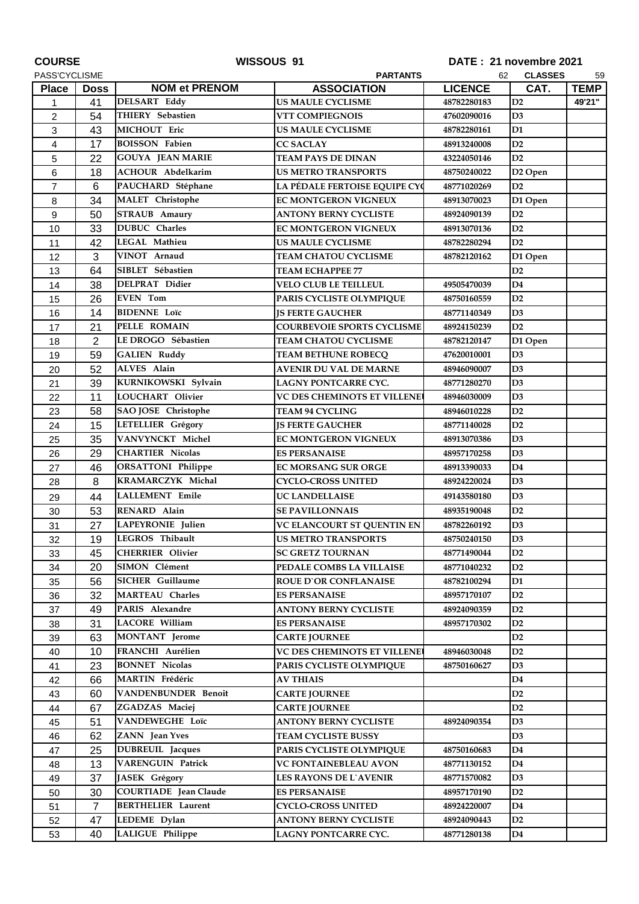| <b>COURSE</b>  |                | WISSOUS 91                   |                                     | DATE: 21 novembre 2021 |                     |             |
|----------------|----------------|------------------------------|-------------------------------------|------------------------|---------------------|-------------|
| PASS'CYCLISME  |                |                              | <b>CLASSES</b><br>62<br>59          |                        |                     |             |
| <b>Place</b>   | <b>Doss</b>    | <b>NOM et PRENOM</b>         | <b>ASSOCIATION</b>                  | <b>LICENCE</b>         | CAT.                | <b>TEMP</b> |
| 1              | 41             | <b>DELSART Eddy</b>          | <b>US MAULE CYCLISME</b>            | 48782280183            | D2                  | 49'21"      |
| $\overline{c}$ | 54             | THIERY Sebastien             | VTT COMPIEGNOIS                     | 47602090016            | D <sub>3</sub>      |             |
| 3              | 43             | MICHOUT Eric                 | <b>US MAULE CYCLISME</b>            | 48782280161            | D <sub>1</sub>      |             |
| 4              | 17             | <b>BOISSON Fabien</b>        | <b>CC SACLAY</b>                    | 48913240008            | D2                  |             |
| 5              | 22             | <b>GOUYA JEAN MARIE</b>      | <b>TEAM PAYS DE DINAN</b>           | 43224050146            | D2                  |             |
| 6              | 18             | <b>ACHOUR Abdelkarim</b>     | <b>US METRO TRANSPORTS</b>          | 48750240022            | D <sub>2</sub> Open |             |
| $\overline{7}$ | 6              | PAUCHARD Stéphane            | LA PÉDALE FERTOISE EQUIPE CY        | 48771020269            | D2                  |             |
| 8              | 34             | MALET Christophe             | EC MONTGERON VIGNEUX                | 48913070023            | D1 Open             |             |
| 9              | 50             | <b>STRAUB</b> Amaury         | <b>ANTONY BERNY CYCLISTE</b>        | 48924090139            | D2                  |             |
| 10             | 33             | <b>DUBUC</b> Charles         | EC MONTGERON VIGNEUX                | 48913070136            | D2                  |             |
| 11             | 42             | LEGAL Mathieu                | <b>US MAULE CYCLISME</b>            | 48782280294            | D2                  |             |
| 12             | 3              | VINOT Arnaud                 | TEAM CHATOU CYCLISME                | 48782120162            | D1 Open             |             |
| 13             | 64             | SIBLET Sébastien             | <b>TEAM ECHAPPEE 77</b>             |                        | D2                  |             |
| 14             | 38             | DELPRAT Didier               | <b>VELO CLUB LE TEILLEUL</b>        | 49505470039            | D <sub>4</sub>      |             |
| 15             | 26             | <b>EVEN</b> Tom              | PARIS CYCLISTE OLYMPIQUE            | 48750160559            | D2                  |             |
| 16             | 14             | <b>BIDENNE</b> Loïc          | <b>JS FERTE GAUCHER</b>             | 48771140349            | D3                  |             |
| 17             | 21             | <b>PELLE ROMAIN</b>          | <b>COURBEVOIE SPORTS CYCLISME</b>   | 48924150239            | D2                  |             |
| 18             | 2              | LE DROGO Sébastien           | <b>TEAM CHATOU CYCLISME</b>         | 48782120147            | D1 Open             |             |
| 19             | 59             | <b>GALIEN Ruddy</b>          | <b>TEAM BETHUNE ROBECQ</b>          | <b>47620010001</b>     | D <sub>3</sub>      |             |
| 20             | 52             | ALVES Alain                  | <b>AVENIR DU VAL DE MARNE</b>       | 48946090007            | D <sub>3</sub>      |             |
| 21             | 39             | KURNIKOWSKI Sylvain          | LAGNY PONTCARRE CYC.                | 48771280270            | D3                  |             |
| 22             | 11             | LOUCHART Olivier             | VC DES CHEMINOTS ET VILLENE         | 48946030009            | D3                  |             |
| 23             | 58             | SAO JOSE Christophe          | TEAM 94 CYCLING                     | 48946010228            | D2                  |             |
| 24             | 15             | LETELLIER Grégory            | <b>JS FERTE GAUCHER</b>             | 48771140028            | D2                  |             |
| 25             | 35             | VANVYNCKT Michel             | EC MONTGERON VIGNEUX                | 48913070386            | D <sub>3</sub>      |             |
| 26             | 29             | <b>CHARTIER Nicolas</b>      | <b>ES PERSANAISE</b>                | 48957170258            | D <sub>3</sub>      |             |
| 27             | 46             | <b>ORSATTONI Philippe</b>    | EC MORSANG SUR ORGE                 | 48913390033            | D <sub>4</sub>      |             |
| 28             | 8              | <b>KRAMARCZYK Michal</b>     | <b>CYCLO-CROSS UNITED</b>           | 48924220024            | D <sub>3</sub>      |             |
| 29             | 44             | <b>LALLEMENT</b> Emile       | <b>UC LANDELLAISE</b>               | 49143580180            | D <sub>3</sub>      |             |
| 30             | 53             | RENARD Alain                 | <b>SE PAVILLONNAIS</b>              | 48935190048            | D2                  |             |
| 31             | 27             | LAPEYRONIE Julien            | VC ELANCOURT ST QUENTIN EN          | 48782260192            | D3                  |             |
| 32             | 19             | LEGROS Thibault              | <b>US METRO TRANSPORTS</b>          | 48750240150            | D3                  |             |
| 33             | 45             | <b>CHERRIER Olivier</b>      | <b>SC GRETZ TOURNAN</b>             | 48771490044            | D <sub>2</sub>      |             |
| 34             | 20             | SIMON Clément                | PEDALE COMBS LA VILLAISE            | 48771040232            | D <sub>2</sub>      |             |
| 35             | 56             | <b>SICHER Guillaume</b>      | <b>ROUE D'OR CONFLANAISE</b>        | 48782100294            | D1                  |             |
| 36             | 32             | <b>MARTEAU Charles</b>       | <b>ES PERSANAISE</b>                | 48957170107            | D2                  |             |
| 37             | 49             | PARIS Alexandre              | <b>ANTONY BERNY CYCLISTE</b>        | 48924090359            | D2                  |             |
| 38             | 31             | <b>LACORE William</b>        | <b>ES PERSANAISE</b>                | 48957170302            | D2                  |             |
| 39             | 63             | <b>MONTANT</b> Jerome        | <b>CARTE JOURNEE</b>                |                        | D <sub>2</sub>      |             |
| 40             | 10             | FRANCHI Aurélien             | <b>VC DES CHEMINOTS ET VILLENET</b> | 48946030048            | D <sub>2</sub>      |             |
| 41             | 23             | <b>BONNET Nicolas</b>        | PARIS CYCLISTE OLYMPIQUE            | 48750160627            | D3                  |             |
| 42             | 66             | MARTIN Frédéric              | <b>AV THIAIS</b>                    |                        | D <sub>4</sub>      |             |
| 43             | 60             | VANDENBUNDER Benoit          | <b>CARTE JOURNEE</b>                |                        | D2                  |             |
| 44             | 67             | ZGADZAS Maciej               | <b>CARTE JOURNEE</b>                |                        | D <sub>2</sub>      |             |
| 45             | 51             | VANDEWEGHE Loïc              | <b>ANTONY BERNY CYCLISTE</b>        | 48924090354            | D3                  |             |
| 46             | 62             | ZANN Jean Yves               | TEAM CYCLISTE BUSSY                 |                        | D <sub>3</sub>      |             |
| 47             | 25             | <b>DUBREUIL</b> Jacques      | PARIS CYCLISTE OLYMPIQUE            | 48750160683            | D4                  |             |
| 48             | 13             | VARENGUIN Patrick            | VC FONTAINEBLEAU AVON               | 48771130152            | D4                  |             |
| 49             | 37             | JASEK Grégory                | LES RAYONS DE L'AVENIR              | 48771570082            | D3                  |             |
| 50             | 30             | <b>COURTIADE</b> Jean Claude | <b>ES PERSANAISE</b>                | 48957170190            | D2                  |             |
| 51             | $\overline{7}$ | <b>BERTHELIER Laurent</b>    | CYCLO-CROSS UNITED                  | 48924220007            | D4                  |             |
| 52             | 47             | LEDEME Dylan                 | <b>ANTONY BERNY CYCLISTE</b>        | 48924090443            | D2                  |             |
| 53             | 40             | LALIGUE Philippe             | LAGNY PONTCARRE CYC.                | 48771280138            | D4                  |             |